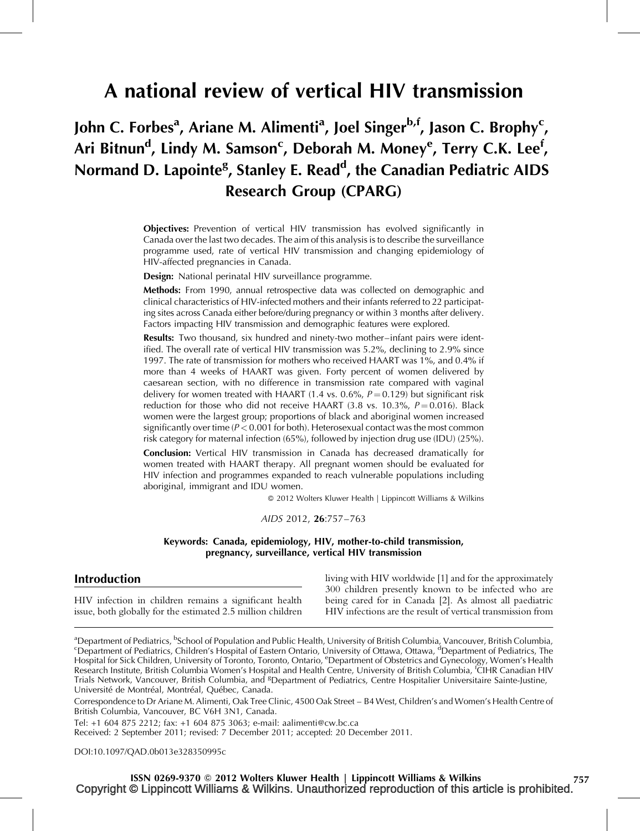# A national review of vertical HIV transmission

John C. Forbes<sup>a</sup>, Ariane M. Alimenti<sup>a</sup>, Joel Singer<sup>b,f</sup>, Jason C. Brophy<sup>c</sup>, Ari Bitnun<sup>d</sup>, Lindy M. Samson<sup>c</sup>, Deborah M. Money<sup>e</sup>, Terry C.K. Lee<sup>f</sup>, Normand D. Lapointe<sup>g</sup>, Stanley E. Read<sup>d</sup>, the Canadian Pediatric AIDS Research Group (CPARG)

> Objectives: Prevention of vertical HIV transmission has evolved significantly in Canada over the last two decades. The aim of this analysis is to describe the surveillance programme used, rate of vertical HIV transmission and changing epidemiology of HIV-affected pregnancies in Canada.

Design: National perinatal HIV surveillance programme.

Methods: From 1990, annual retrospective data was collected on demographic and clinical characteristics of HIV-infected mothers and their infants referred to 22 participating sites across Canada either before/during pregnancy or within 3 months after delivery. Factors impacting HIV transmission and demographic features were explored.

Results: Two thousand, six hundred and ninety-two mother–infant pairs were identified. The overall rate of vertical HIV transmission was 5.2%, declining to 2.9% since 1997. The rate of transmission for mothers who received HAART was 1%, and 0.4% if more than 4 weeks of HAART was given. Forty percent of women delivered by caesarean section, with no difference in transmission rate compared with vaginal delivery for women treated with HAART (1.4 vs. 0.6%,  $P = 0.129$ ) but significant risk reduction for those who did not receive HAART (3.8 vs. 10.3%,  $P = 0.016$ ). Black women were the largest group; proportions of black and aboriginal women increased significantly over time ( $P < 0.001$  for both). Heterosexual contact was the most common risk category for maternal infection (65%), followed by injection drug use (IDU) (25%).

Conclusion: Vertical HIV transmission in Canada has decreased dramatically for women treated with HAART therapy. All pregnant women should be evaluated for HIV infection and programmes expanded to reach vulnerable populations including aboriginal, immigrant and IDU women.

2012 Wolters Kluwer Health | Lippincott Williams & Wilkins

AIDS 2012, 26*:*757–763

#### Keywords: Canada, epidemiology, HIV, mother-to-child transmission, pregnancy, surveillance, vertical HIV transmission

# Introduction

HIV infection in children remains a significant health issue, both globally for the estimated 2.5 million children living with HIV worldwide [\[1\]](#page-6-0) and for the approximately 300 children presently known to be infected who are being cared for in Canada [\[2\].](#page-6-0) As almost all paediatric HIV infections are the result of vertical transmission from

<sup>a</sup>Department of Pediatrics, <sup>b</sup>School of Population and Public Health, University of British Columbia, Vancouver, British Columbia,<br><sup>c</sup>Department of Pediatrics, Children′s Hospital of Eastern Ontario, University of Ottawa Hospital for Sick Children, University of Toronto, Toronto, Ontario, <sup>e</sup>Department of Obstetrics and Gynecology, Women's Health Research Institute, British Columbia Women's Hospital and Health Centre, University of British Columbia, <sup>f</sup>CIHR Canadian HIV<br>Trials Network, Vancouver, British Columbia, and <sup>g</sup>Department of Pediatrics, Centre Hospitalier Université de Montréal, Montréal, Québec, Canada.

Correspondence to Dr Ariane M. Alimenti, Oak Tree Clinic, 4500 Oak Street – B4 West, Children's and Women's Health Centre of British Columbia, Vancouver, BC V6H 3N1, Canada.

Tel: +1 604 875 2212; fax: +1 604 875 3063; e-mail: [aalimenti@cw.bc.ca](mailto:aalimenti@cw.bc.ca)

Received: 2 September 2011; revised: 7 December 2011; accepted: 20 December 2011.

DOI[:10.1097/QAD.0b013e328350995c](http://dx.doi.org/10.1097/QAD.0b013e328350995c)

## Copyright © Lippincott Williams & Wilkins. Unauthorized reproduction of this article is prohibited. ISSN 0269-9370  $\odot$  2012 Wolters Kluwer Health | Lippincott Williams & Wilkins 757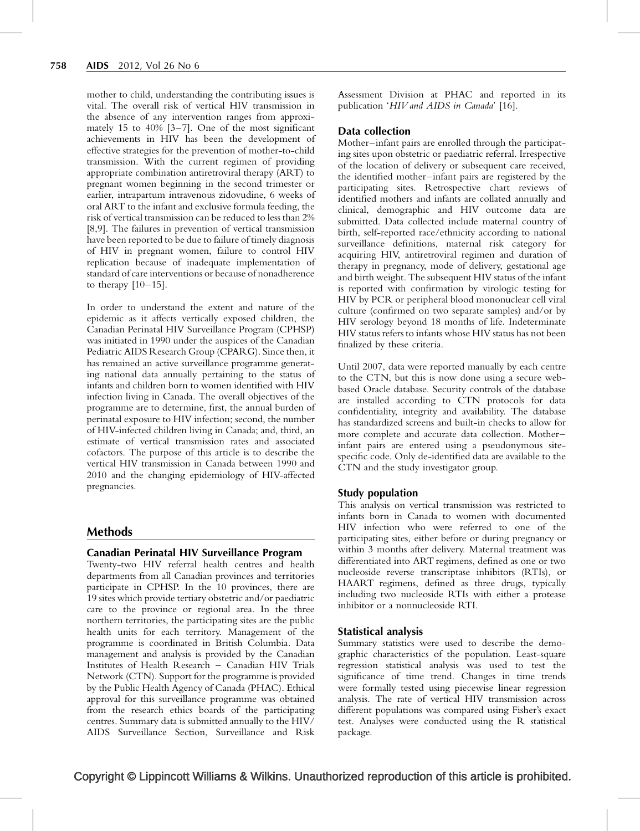mother to child, understanding the contributing issues is vital. The overall risk of vertical HIV transmission in the absence of any intervention ranges from approximately 15 to 40% [\[3–7\].](#page-6-0) One of the most significant achievements in HIV has been the development of effective strategies for the prevention of mother-to-child transmission. With the current regimen of providing appropriate combination antiretroviral therapy (ART) to pregnant women beginning in the second trimester or earlier, intrapartum intravenous zidovudine, 6 weeks of oral ART to the infant and exclusive formula feeding, the risk of vertical transmission can be reduced to less than 2% [\[8,9\]](#page-6-0). The failures in prevention of vertical transmission have been reported to be due to failure of timely diagnosis of HIV in pregnant women, failure to control HIV replication because of inadequate implementation of standard of care interventions or because of nonadherence to therapy  $[10-15]$ .

In order to understand the extent and nature of the epidemic as it affects vertically exposed children, the Canadian Perinatal HIV Surveillance Program (CPHSP) was initiated in 1990 under the auspices of the Canadian Pediatric AIDS Research Group (CPARG). Since then, it has remained an active surveillance programme generating national data annually pertaining to the status of infants and children born to women identified with HIV infection living in Canada. The overall objectives of the programme are to determine, first, the annual burden of perinatal exposure to HIV infection; second, the number of HIV-infected children living in Canada; and, third, an estimate of vertical transmission rates and associated cofactors. The purpose of this article is to describe the vertical HIV transmission in Canada between 1990 and 2010 and the changing epidemiology of HIV-affected pregnancies.

# Methods

#### Canadian Perinatal HIV Surveillance Program

Twenty-two HIV referral health centres and health departments from all Canadian provinces and territories participate in CPHSP. In the 10 provinces, there are 19 sites which provide tertiary obstetric and/or paediatric care to the province or regional area. In the three northern territories, the participating sites are the public health units for each territory. Management of the programme is coordinated in British Columbia. Data management and analysis is provided by the Canadian Institutes of Health Research – Canadian HIV Trials Network (CTN). Support for the programme is provided by the Public Health Agency of Canada (PHAC). Ethical approval for this surveillance programme was obtained from the research ethics boards of the participating centres. Summary data is submitted annually to the HIV/ AIDS Surveillance Section, Surveillance and Risk Assessment Division at PHAC and reported in its publication 'HIV and AIDS in Canada' [\[16\]](#page-6-0).

#### Data collection

Mother–infant pairs are enrolled through the participating sites upon obstetric or paediatric referral. Irrespective of the location of delivery or subsequent care received, the identified mother–infant pairs are registered by the participating sites. Retrospective chart reviews of identified mothers and infants are collated annually and clinical, demographic and HIV outcome data are submitted. Data collected include maternal country of birth, self-reported race/ethnicity according to national surveillance definitions, maternal risk category for acquiring HIV, antiretroviral regimen and duration of therapy in pregnancy, mode of delivery, gestational age and birth weight. The subsequent HIV status of the infant is reported with confirmation by virologic testing for HIV by PCR or peripheral blood mononuclear cell viral culture (confirmed on two separate samples) and/or by HIV serology beyond 18 months of life. Indeterminate HIV status refers to infants whose HIV status has not been finalized by these criteria.

Until 2007, data were reported manually by each centre to the CTN, but this is now done using a secure webbased Oracle database. Security controls of the database are installed according to CTN protocols for data confidentiality, integrity and availability. The database has standardized screens and built-in checks to allow for more complete and accurate data collection. Mother– infant pairs are entered using a pseudonymous sitespecific code. Only de-identified data are available to the CTN and the study investigator group.

#### Study population

This analysis on vertical transmission was restricted to infants born in Canada to women with documented HIV infection who were referred to one of the participating sites, either before or during pregnancy or within 3 months after delivery. Maternal treatment was differentiated into ART regimens, defined as one or two nucleoside reverse transcriptase inhibitors (RTIs), or HAART regimens, defined as three drugs, typically including two nucleoside RTIs with either a protease inhibitor or a nonnucleoside RTI.

#### Statistical analysis

Summary statistics were used to describe the demographic characteristics of the population. Least-square regression statistical analysis was used to test the significance of time trend. Changes in time trends were formally tested using piecewise linear regression analysis. The rate of vertical HIV transmission across different populations was compared using Fisher's exact test. Analyses were conducted using the R statistical package.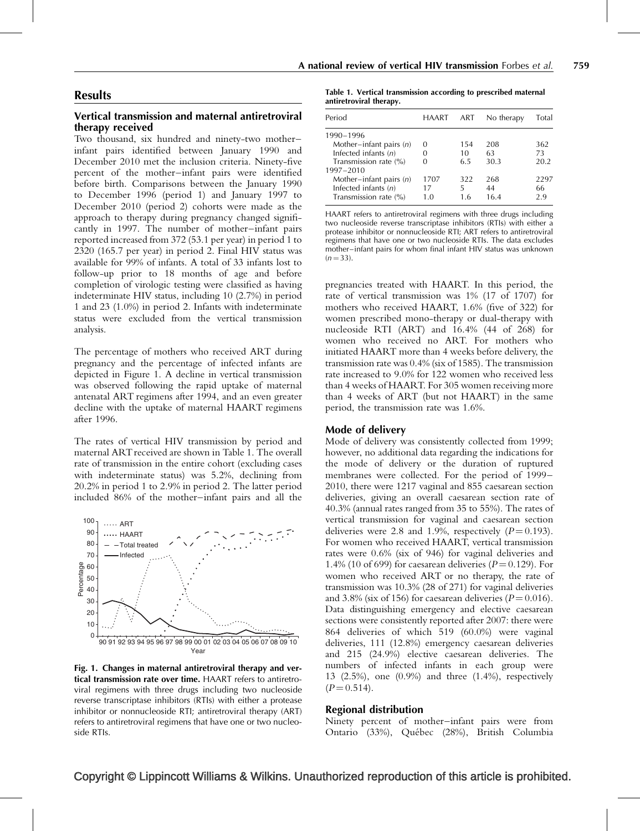#### Results

#### Vertical transmission and maternal antiretroviral therapy received

Two thousand, six hundred and ninety-two mother– infant pairs identified between January 1990 and December 2010 met the inclusion criteria. Ninety-five percent of the mother–infant pairs were identified before birth. Comparisons between the January 1990 to December 1996 (period 1) and January 1997 to December 2010 (period 2) cohorts were made as the approach to therapy during pregnancy changed significantly in 1997. The number of mother–infant pairs reported increased from 372 (53.1 per year) in period 1 to 2320 (165.7 per year) in period 2. Final HIV status was available for 99% of infants. A total of 33 infants lost to follow-up prior to 18 months of age and before completion of virologic testing were classified as having indeterminate HIV status, including 10 (2.7%) in period 1 and 23 (1.0%) in period 2. Infants with indeterminate status were excluded from the vertical transmission analysis.

The percentage of mothers who received ART during pregnancy and the percentage of infected infants are depicted in Figure 1. A decline in vertical transmission was observed following the rapid uptake of maternal antenatal ART regimens after 1994, and an even greater decline with the uptake of maternal HAART regimens after 1996.

The rates of vertical HIV transmission by period and maternal ART received are shown in Table 1. The overall rate of transmission in the entire cohort (excluding cases with indeterminate status) was 5.2%, declining from 20.2% in period 1 to 2.9% in period 2. The latter period included 86% of the mother–infant pairs and all the



Fig. 1. Changes in maternal antiretroviral therapy and vertical transmission rate over time. HAART refers to antiretroviral regimens with three drugs including two nucleoside reverse transcriptase inhibitors (RTIs) with either a protease inhibitor or nonnucleoside RTI; antiretroviral therapy (ART) refers to antiretroviral regimens that have one or two nucleoside RTIs.

Table 1. Vertical transmission according to prescribed maternal antiretroviral therapy.

| Period                    | HAART    | ART | No therapy | Total |
|---------------------------|----------|-----|------------|-------|
| 1990-1996                 |          |     |            |       |
| Mother-infant pairs $(n)$ | $\Omega$ | 154 | 208        | 362   |
| Infected infants $(n)$    | 0        | 10  | 63         | 73    |
| Transmission rate (%)     | 0        | 6.5 | 30.3       | 20.2  |
| 1997-2010                 |          |     |            |       |
|                           | 1707     | 322 | 268        | 2297  |
| Infected infants $(n)$    | 17       | 5   | 44         | 66    |
| Transmission rate (%)     | 1.0      | 1.6 | 16.4       | 2.9   |
| Mother-infant pairs $(n)$ |          |     |            |       |

HAART refers to antiretroviral regimens with three drugs including two nucleoside reverse transcriptase inhibitors (RTIs) with either a protease inhibitor or nonnucleoside RTI; ART refers to antiretroviral regimens that have one or two nucleoside RTIs. The data excludes mother–infant pairs for whom final infant HIV status was unknown  $(n = 33)$ .

pregnancies treated with HAART. In this period, the rate of vertical transmission was 1% (17 of 1707) for mothers who received HAART, 1.6% (five of 322) for women prescribed mono-therapy or dual-therapy with nucleoside RTI (ART) and 16.4% (44 of 268) for women who received no ART. For mothers who initiated HAART more than 4 weeks before delivery, the transmission rate was 0.4% (six of 1585). The transmission rate increased to 9.0% for 122 women who received less than 4 weeks of HAART. For 305 women receiving more than 4 weeks of ART (but not HAART) in the same period, the transmission rate was 1.6%.

#### Mode of delivery

Mode of delivery was consistently collected from 1999; however, no additional data regarding the indications for the mode of delivery or the duration of ruptured membranes were collected. For the period of 1999– 2010, there were 1217 vaginal and 855 caesarean section deliveries, giving an overall caesarean section rate of 40.3% (annual rates ranged from 35 to 55%). The rates of vertical transmission for vaginal and caesarean section deliveries were 2.8 and 1.9%, respectively  $(P = 0.193)$ . For women who received HAART, vertical transmission rates were 0.6% (six of 946) for vaginal deliveries and 1.4% (10 of 699) for caesarean deliveries ( $P = 0.129$ ). For women who received ART or no therapy, the rate of transmission was 10.3% (28 of 271) for vaginal deliveries and 3.8% (six of 156) for caesarean deliveries ( $P = 0.016$ ). Data distinguishing emergency and elective caesarean sections were consistently reported after 2007: there were 864 deliveries of which 519 (60.0%) were vaginal deliveries, 111 (12.8%) emergency caesarean deliveries and 215 (24.9%) elective caesarean deliveries. The numbers of infected infants in each group were 13 (2.5%), one (0.9%) and three (1.4%), respectively  $(P = 0.514)$ .

#### Regional distribution

Ninety percent of mother–infant pairs were from Ontario (33%), Québec (28%), British Columbia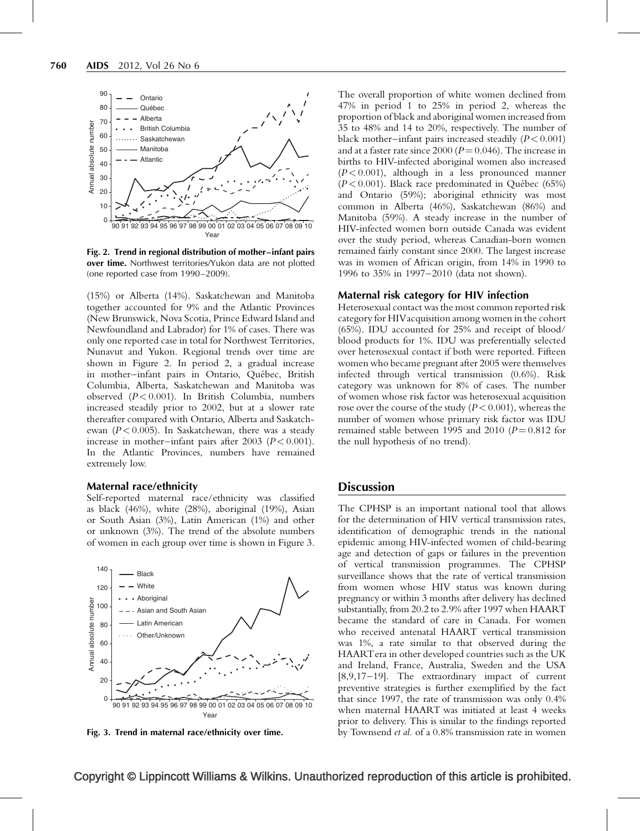

Fig. 2. Trend in regional distribution of mother–infant pairs over time. Northwest territories/Yukon data are not plotted (one reported case from 1990–2009).

(15%) or Alberta (14%). Saskatchewan and Manitoba together accounted for 9% and the Atlantic Provinces (New Brunswick, Nova Scotia, Prince Edward Island and Newfoundland and Labrador) for 1% of cases. There was only one reported case in total for Northwest Territories, Nunavut and Yukon. Regional trends over time are shown in Figure 2. In period 2, a gradual increase in mother-infant pairs in Ontario, Québec, British Columbia, Alberta, Saskatchewan and Manitoba was observed  $(P< 0.001)$ . In British Columbia, numbers increased steadily prior to 2002, but at a slower rate thereafter compared with Ontario, Alberta and Saskatchewan ( $P < 0.005$ ). In Saskatchewan, there was a steady increase in mother–infant pairs after 2003 ( $P < 0.001$ ). In the Atlantic Provinces, numbers have remained extremely low.

#### Maternal race/ethnicity

Self-reported maternal race/ethnicity was classified as black (46%), white (28%), aboriginal (19%), Asian or South Asian (3%), Latin American (1%) and other or unknown (3%). The trend of the absolute numbers of women in each group over time is shown in Figure 3.



Fig. 3. Trend in maternal race/ethnicity over time.

The overall proportion of white women declined from 47% in period 1 to 25% in period 2, whereas the proportion of black and aboriginal women increased from 35 to 48% and 14 to 20%, respectively. The number of black mother–infant pairs increased steadily  $(P < 0.001)$ and at a faster rate since 2000 ( $P = 0.046$ ). The increase in births to HIV-infected aboriginal women also increased  $(P< 0.001)$ , although in a less pronounced manner  $(P < 0.001)$ . Black race predominated in Québec (65%) and Ontario (59%); aboriginal ethnicity was most common in Alberta (46%), Saskatchewan (86%) and Manitoba (59%). A steady increase in the number of HIV-infected women born outside Canada was evident over the study period, whereas Canadian-born women remained fairly constant since 2000. The largest increase was in women of African origin, from 14% in 1990 to 1996 to 35% in 1997–2010 (data not shown).

#### Maternal risk category for HIV infection

Heterosexual contact was the most common reported risk category for HIVacquisition among women in the cohort (65%). IDU accounted for 25% and receipt of blood/ blood products for 1%. IDU was preferentially selected over heterosexual contact if both were reported. Fifteen women who became pregnant after 2005 were themselves infected through vertical transmission (0.6%). Risk category was unknown for 8% of cases. The number of women whose risk factor was heterosexual acquisition rose over the course of the study ( $P < 0.001$ ), whereas the number of women whose primary risk factor was IDU remained stable between 1995 and 2010 ( $P = 0.812$  for the null hypothesis of no trend).

# **Discussion**

The CPHSP is an important national tool that allows for the determination of HIV vertical transmission rates, identification of demographic trends in the national epidemic among HIV-infected women of child-bearing age and detection of gaps or failures in the prevention of vertical transmission programmes. The CPHSP surveillance shows that the rate of vertical transmission from women whose HIV status was known during pregnancy or within 3 months after delivery has declined substantially, from 20.2 to 2.9% after 1997 when HAART became the standard of care in Canada. For women who received antenatal HAART vertical transmission was 1%, a rate similar to that observed during the HAARTera in other developed countries such as the UK and Ireland, France, Australia, Sweden and the USA [\[8,9,17–19\]](#page-6-0). The extraordinary impact of current preventive strategies is further exemplified by the fact that since 1997, the rate of transmission was only 0.4% when maternal HAART was initiated at least 4 weeks prior to delivery. This is similar to the findings reported by Townsend et al. of a 0.8% transmission rate in women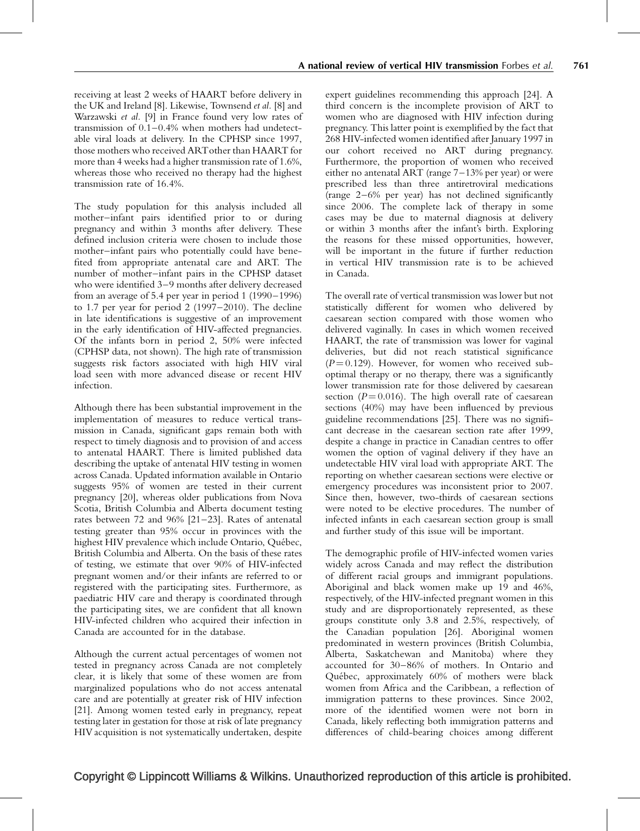receiving at least 2 weeks of HAART before delivery in the UK and Ireland [\[8\].](#page-6-0) Likewise, Townsend et al. [\[8\]](#page-6-0) and Warzawski et al. [\[9\]](#page-6-0) in France found very low rates of transmission of 0.1–0.4% when mothers had undetectable viral loads at delivery. In the CPHSP since 1997, those mothers who received ARTother than HAART for more than 4 weeks had a higher transmission rate of 1.6%, whereas those who received no therapy had the highest transmission rate of 16.4%.

The study population for this analysis included all mother–infant pairs identified prior to or during pregnancy and within 3 months after delivery. These defined inclusion criteria were chosen to include those mother–infant pairs who potentially could have benefited from appropriate antenatal care and ART. The number of mother–infant pairs in the CPHSP dataset who were identified 3–9 months after delivery decreased from an average of 5.4 per year in period 1 (1990–1996) to 1.7 per year for period 2 (1997–2010). The decline in late identifications is suggestive of an improvement in the early identification of HIV-affected pregnancies. Of the infants born in period 2, 50% were infected (CPHSP data, not shown). The high rate of transmission suggests risk factors associated with high HIV viral load seen with more advanced disease or recent HIV infection.

Although there has been substantial improvement in the implementation of measures to reduce vertical transmission in Canada, significant gaps remain both with respect to timely diagnosis and to provision of and access to antenatal HAART. There is limited published data describing the uptake of antenatal HIV testing in women across Canada. Updated information available in Ontario suggests 95% of women are tested in their current pregnancy [\[20\],](#page-6-0) whereas older publications from Nova Scotia, British Columbia and Alberta document testing rates between 72 and 96% [\[21–23\].](#page-6-0) Rates of antenatal testing greater than 95% occur in provinces with the highest HIV prevalence which include Ontario, Québec, British Columbia and Alberta. On the basis of these rates of testing, we estimate that over 90% of HIV-infected pregnant women and/or their infants are referred to or registered with the participating sites. Furthermore, as paediatric HIV care and therapy is coordinated through the participating sites, we are confident that all known HIV-infected children who acquired their infection in Canada are accounted for in the database.

Although the current actual percentages of women not tested in pregnancy across Canada are not completely clear, it is likely that some of these women are from marginalized populations who do not access antenatal care and are potentially at greater risk of HIV infection [\[21\]](#page-6-0). Among women tested early in pregnancy, repeat testing later in gestation for those at risk of late pregnancy HIV acquisition is not systematically undertaken, despite

expert guidelines recommending this approach [\[24\]](#page-6-0). A third concern is the incomplete provision of ART to women who are diagnosed with HIV infection during pregnancy. This latter point is exemplified by the fact that 268 HIV-infected women identified after January 1997 in our cohort received no ART during pregnancy. Furthermore, the proportion of women who received either no antenatal ART (range 7–13% per year) or were prescribed less than three antiretroviral medications  $\frac{1}{2}$  (range 2–6% per year) has not declined significantly since 2006. The complete lack of therapy in some cases may be due to maternal diagnosis at delivery or within 3 months after the infant's birth. Exploring the reasons for these missed opportunities, however, will be important in the future if further reduction in vertical HIV transmission rate is to be achieved in Canada.

The overall rate of vertical transmission was lower but not statistically different for women who delivered by caesarean section compared with those women who delivered vaginally. In cases in which women received HAART, the rate of transmission was lower for vaginal deliveries, but did not reach statistical significance  $(P = 0.129)$ . However, for women who received suboptimal therapy or no therapy, there was a significantly lower transmission rate for those delivered by caesarean section ( $P = 0.016$ ). The high overall rate of caesarean sections (40%) may have been influenced by previous guideline recommendations [\[25\].](#page-6-0) There was no significant decrease in the caesarean section rate after 1999, despite a change in practice in Canadian centres to offer women the option of vaginal delivery if they have an undetectable HIV viral load with appropriate ART. The reporting on whether caesarean sections were elective or emergency procedures was inconsistent prior to 2007. Since then, however, two-thirds of caesarean sections were noted to be elective procedures. The number of infected infants in each caesarean section group is small and further study of this issue will be important.

The demographic profile of HIV-infected women varies widely across Canada and may reflect the distribution of different racial groups and immigrant populations. Aboriginal and black women make up 19 and 46%, respectively, of the HIV-infected pregnant women in this study and are disproportionately represented, as these groups constitute only 3.8 and 2.5%, respectively, of the Canadian population [\[26\]](#page-6-0). Aboriginal women predominated in western provinces (British Columbia, Alberta, Saskatchewan and Manitoba) where they accounted for 30–86% of mothers. In Ontario and Québec, approximately 60% of mothers were black women from Africa and the Caribbean, a reflection of immigration patterns to these provinces. Since 2002, more of the identified women were not born in Canada, likely reflecting both immigration patterns and differences of child-bearing choices among different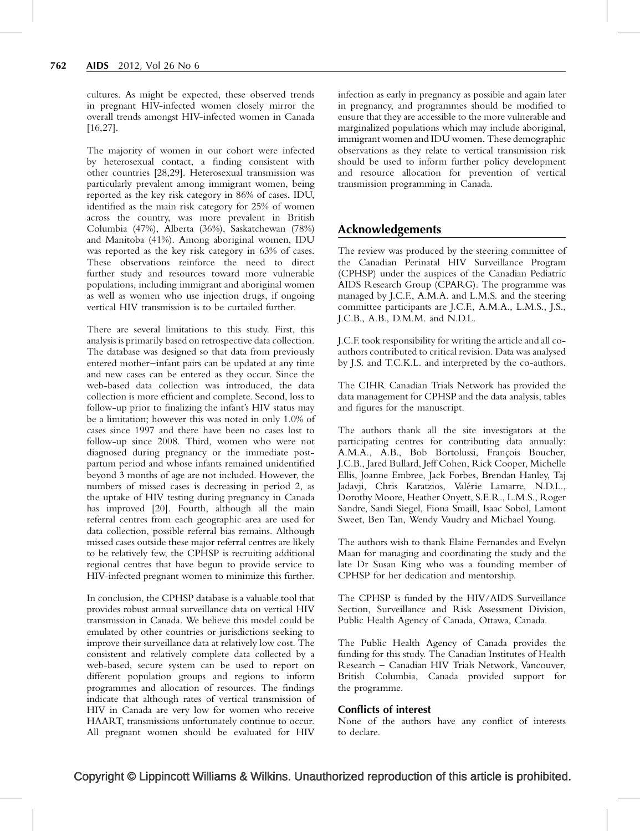cultures. As might be expected, these observed trends in pregnant HIV-infected women closely mirror the overall trends amongst HIV-infected women in Canada [\[16,27\]](#page-6-0).

The majority of women in our cohort were infected by heterosexual contact, a finding consistent with other countries [\[28,29\]](#page-6-0). Heterosexual transmission was particularly prevalent among immigrant women, being reported as the key risk category in 86% of cases. IDU, identified as the main risk category for 25% of women across the country, was more prevalent in British Columbia (47%), Alberta (36%), Saskatchewan (78%) and Manitoba (41%). Among aboriginal women, IDU was reported as the key risk category in 63% of cases. These observations reinforce the need to direct further study and resources toward more vulnerable populations, including immigrant and aboriginal women as well as women who use injection drugs, if ongoing vertical HIV transmission is to be curtailed further.

There are several limitations to this study. First, this analysis is primarily based on retrospective data collection. The database was designed so that data from previously entered mother–infant pairs can be updated at any time and new cases can be entered as they occur. Since the web-based data collection was introduced, the data collection is more efficient and complete. Second, loss to follow-up prior to finalizing the infant's HIV status may be a limitation; however this was noted in only 1.0% of cases since 1997 and there have been no cases lost to follow-up since 2008. Third, women who were not diagnosed during pregnancy or the immediate postpartum period and whose infants remained unidentified beyond 3 months of age are not included. However, the numbers of missed cases is decreasing in period 2, as the uptake of HIV testing during pregnancy in Canada has improved [\[20\].](#page-6-0) Fourth, although all the main referral centres from each geographic area are used for data collection, possible referral bias remains. Although missed cases outside these major referral centres are likely to be relatively few, the CPHSP is recruiting additional regional centres that have begun to provide service to HIV-infected pregnant women to minimize this further.

In conclusion, the CPHSP database is a valuable tool that provides robust annual surveillance data on vertical HIV transmission in Canada. We believe this model could be emulated by other countries or jurisdictions seeking to improve their surveillance data at relatively low cost. The consistent and relatively complete data collected by a web-based, secure system can be used to report on different population groups and regions to inform programmes and allocation of resources. The findings indicate that although rates of vertical transmission of HIV in Canada are very low for women who receive HAART, transmissions unfortunately continue to occur. All pregnant women should be evaluated for HIV

infection as early in pregnancy as possible and again later in pregnancy, and programmes should be modified to ensure that they are accessible to the more vulnerable and marginalized populations which may include aboriginal, immigrant women and IDU women. These demographic observations as they relate to vertical transmission risk should be used to inform further policy development and resource allocation for prevention of vertical transmission programming in Canada.

# Acknowledgements

The review was produced by the steering committee of the Canadian Perinatal HIV Surveillance Program (CPHSP) under the auspices of the Canadian Pediatric AIDS Research Group (CPARG). The programme was managed by J.C.F., A.M.A. and L.M.S. and the steering committee participants are J.C.F., A.M.A., L.M.S., J.S., J.C.B., A.B., D.M.M. and N.D.L.

J.C.F. took responsibility for writing the article and all coauthors contributed to critical revision. Data was analysed by J.S. and T.C.K.L. and interpreted by the co-authors.

The CIHR Canadian Trials Network has provided the data management for CPHSP and the data analysis, tables and figures for the manuscript.

The authors thank all the site investigators at the participating centres for contributing data annually: A.M.A., A.B., Bob Bortolussi, François Boucher, J.C.B., Jared Bullard, Jeff Cohen, Rick Cooper, Michelle Ellis, Joanne Embree, Jack Forbes, Brendan Hanley, Taj Jadavji, Chris Karatzios, Valérie Lamarre, N.D.L., Dorothy Moore, Heather Onyett, S.E.R., L.M.S., Roger Sandre, Sandi Siegel, Fiona Smaill, Isaac Sobol, Lamont Sweet, Ben Tan, Wendy Vaudry and Michael Young.

The authors wish to thank Elaine Fernandes and Evelyn Maan for managing and coordinating the study and the late Dr Susan King who was a founding member of CPHSP for her dedication and mentorship.

The CPHSP is funded by the HIV/AIDS Surveillance Section, Surveillance and Risk Assessment Division, Public Health Agency of Canada, Ottawa, Canada.

The Public Health Agency of Canada provides the funding for this study. The Canadian Institutes of Health Research – Canadian HIV Trials Network, Vancouver, British Columbia, Canada provided support for the programme.

## Conflicts of interest

None of the authors have any conflict of interests to declare.